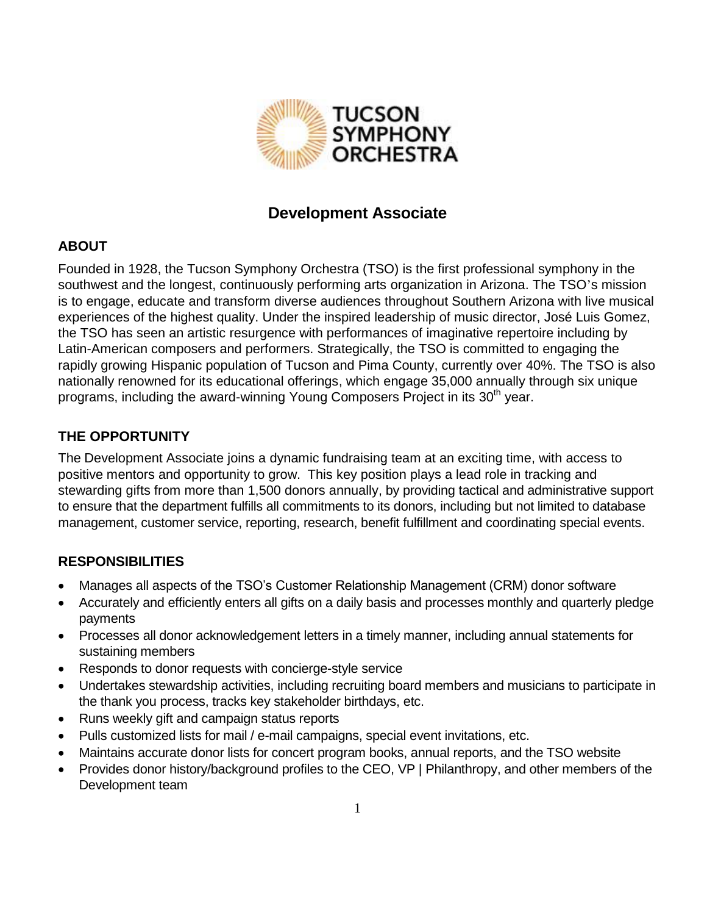

# **Development Associate**

#### **ABOUT**

Founded in 1928, the Tucson Symphony Orchestra (TSO) is the first professional symphony in the southwest and the longest, continuously performing arts organization in Arizona. The TSO's mission is to engage, educate and transform diverse audiences throughout Southern Arizona with live musical experiences of the highest quality. Under the inspired leadership of music director, José Luis Gomez, the TSO has seen an artistic resurgence with performances of imaginative repertoire including by Latin-American composers and performers. Strategically, the TSO is committed to engaging the rapidly growing Hispanic population of Tucson and Pima County, currently over 40%. The TSO is also nationally renowned for its educational offerings, which engage 35,000 annually through six unique programs, including the award-winning Young Composers Project in its 30<sup>th</sup> year.

## **THE OPPORTUNITY**

The Development Associate joins a dynamic fundraising team at an exciting time, with access to positive mentors and opportunity to grow. This key position plays a lead role in tracking and stewarding gifts from more than 1,500 donors annually, by providing tactical and administrative support to ensure that the department fulfills all commitments to its donors, including but not limited to database management, customer service, reporting, research, benefit fulfillment and coordinating special events.

## **RESPONSIBILITIES**

- Manages all aspects of the TSO's Customer Relationship Management (CRM) donor software
- Accurately and efficiently enters all gifts on a daily basis and processes monthly and quarterly pledge payments
- Processes all donor acknowledgement letters in a timely manner, including annual statements for sustaining members
- Responds to donor requests with concierge-style service
- Undertakes stewardship activities, including recruiting board members and musicians to participate in the thank you process, tracks key stakeholder birthdays, etc.
- Runs weekly gift and campaign status reports
- Pulls customized lists for mail / e-mail campaigns, special event invitations, etc.
- Maintains accurate donor lists for concert program books, annual reports, and the TSO website
- Provides donor history/background profiles to the CEO, VP | Philanthropy, and other members of the Development team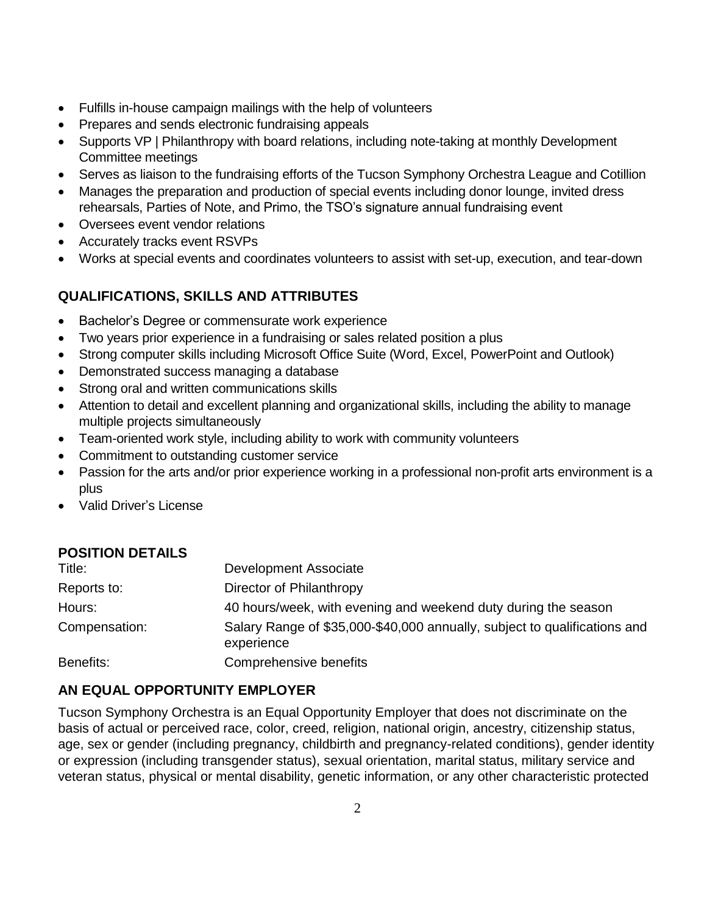- Fulfills in-house campaign mailings with the help of volunteers
- Prepares and sends electronic fundraising appeals
- Supports VP | Philanthropy with board relations, including note-taking at monthly Development Committee meetings
- Serves as liaison to the fundraising efforts of the Tucson Symphony Orchestra League and Cotillion
- Manages the preparation and production of special events including donor lounge, invited dress rehearsals, Parties of Note, and Primo, the TSO's signature annual fundraising event
- Oversees event vendor relations
- Accurately tracks event RSVPs
- Works at special events and coordinates volunteers to assist with set-up, execution, and tear-down

## **QUALIFICATIONS, SKILLS AND ATTRIBUTES**

- Bachelor's Degree or commensurate work experience
- Two years prior experience in a fundraising or sales related position a plus
- Strong computer skills including Microsoft Office Suite (Word, Excel, PowerPoint and Outlook)
- Demonstrated success managing a database
- Strong oral and written communications skills
- Attention to detail and excellent planning and organizational skills, including the ability to manage multiple projects simultaneously
- Team-oriented work style, including ability to work with community volunteers
- Commitment to outstanding customer service
- Passion for the arts and/or prior experience working in a professional non-profit arts environment is a plus
- Valid Driver's License

## **POSITION DETAILS** Title: Development Associate Reports to: Director of Philanthropy Hours: 40 hours/week, with evening and weekend duty during the season Compensation: Salary Range of \$35,000-\$40,000 annually, subject to qualifications and experience

Benefits: Comprehensive benefits

## **AN EQUAL OPPORTUNITY EMPLOYER**

Tucson Symphony Orchestra is an Equal Opportunity Employer that does not discriminate on the basis of actual or perceived race, color, creed, religion, national origin, ancestry, citizenship status, age, sex or gender (including pregnancy, childbirth and pregnancy-related conditions), gender identity or expression (including transgender status), sexual orientation, marital status, military service and veteran status, physical or mental disability, genetic information, or any other characteristic protected